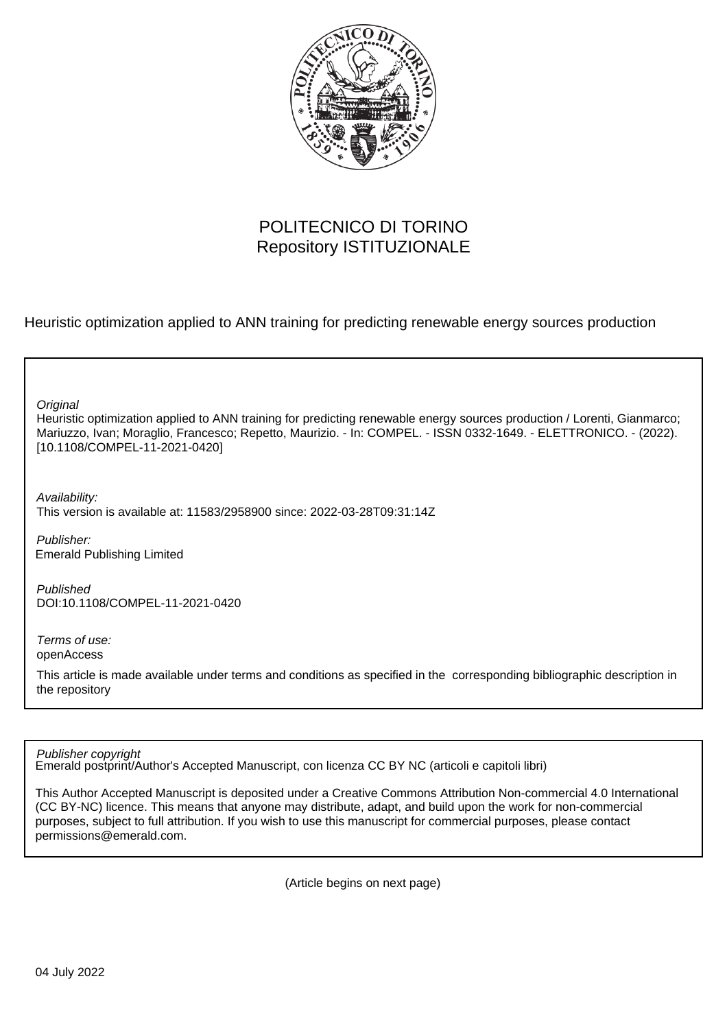

# POLITECNICO DI TORINO Repository ISTITUZIONALE

Heuristic optimization applied to ANN training for predicting renewable energy sources production

**Original** 

Heuristic optimization applied to ANN training for predicting renewable energy sources production / Lorenti, Gianmarco; Mariuzzo, Ivan; Moraglio, Francesco; Repetto, Maurizio. - In: COMPEL. - ISSN 0332-1649. - ELETTRONICO. - (2022). [10.1108/COMPEL-11-2021-0420]

Availability:

This version is available at: 11583/2958900 since: 2022-03-28T09:31:14Z

Publisher: Emerald Publishing Limited

Published DOI:10.1108/COMPEL-11-2021-0420

Terms of use: openAccess

This article is made available under terms and conditions as specified in the corresponding bibliographic description in the repository

Publisher copyright

Emerald postprint/Author's Accepted Manuscript, con licenza CC BY NC (articoli e capitoli libri)

This Author Accepted Manuscript is deposited under a Creative Commons Attribution Non-commercial 4.0 International (CC BY-NC) licence. This means that anyone may distribute, adapt, and build upon the work for non-commercial purposes, subject to full attribution. If you wish to use this manuscript for commercial purposes, please contact permissions@emerald.com.

(Article begins on next page)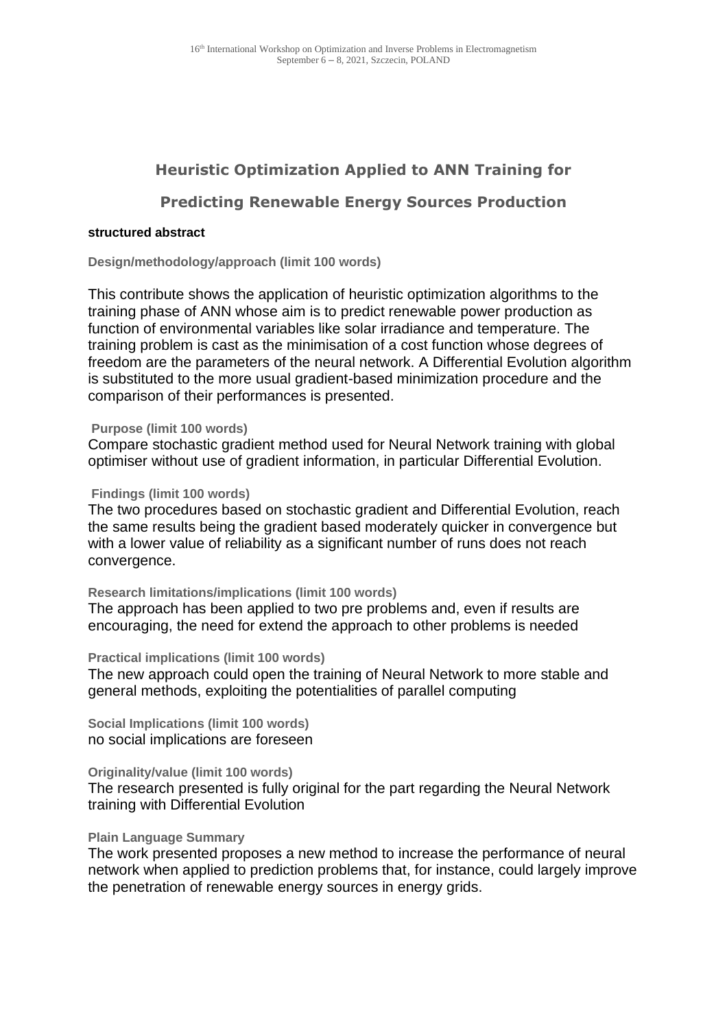# **Heuristic Optimization Applied to ANN Training for**

# **Predicting Renewable Energy Sources Production**

## **[structured abstract](file://///societyimages/qae/How%20to%20write%20a%20structured%20abstract%20(new).doc)**

**Design/methodology/approach (limit 100 words)**

This contribute shows the application of heuristic optimization algorithms to the training phase of ANN whose aim is to predict renewable power production as function of environmental variables like solar irradiance and temperature. The training problem is cast as the minimisation of a cost function whose degrees of freedom are the parameters of the neural network. A Differential Evolution algorithm is substituted to the more usual gradient-based minimization procedure and the comparison of their performances is presented.

# **Purpose (limit 100 words)**

Compare stochastic gradient method used for Neural Network training with global optimiser without use of gradient information, in particular Differential Evolution.

# **Findings (limit 100 words)**

The two procedures based on stochastic gradient and Differential Evolution, reach the same results being the gradient based moderately quicker in convergence but with a lower value of reliability as a significant number of runs does not reach convergence.

# **Research limitations/implications (limit 100 words)**

The approach has been applied to two pre problems and, even if results are encouraging, the need for extend the approach to other problems is needed

## **Practical implications (limit 100 words)**

The new approach could open the training of Neural Network to more stable and general methods, exploiting the potentialities of parallel computing

**Social Implications (limit 100 words)** no social implications are foreseen

# **Originality/value (limit 100 words)**

The research presented is fully original for the part regarding the Neural Network training with Differential Evolution

# **Plain Language Summary**

The work presented proposes a new method to increase the performance of neural network when applied to prediction problems that, for instance, could largely improve the penetration of renewable energy sources in energy grids.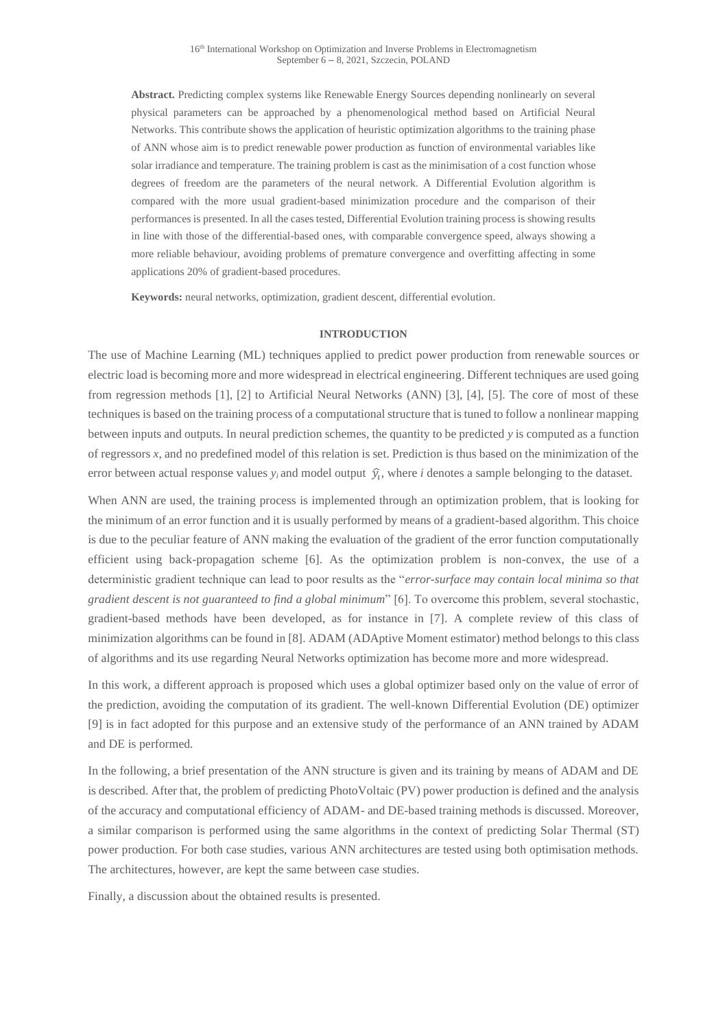**Abstract.** Predicting complex systems like Renewable Energy Sources depending nonlinearly on several physical parameters can be approached by a phenomenological method based on Artificial Neural Networks. This contribute shows the application of heuristic optimization algorithms to the training phase of ANN whose aim is to predict renewable power production as function of environmental variables like solar irradiance and temperature. The training problem is cast as the minimisation of a cost function whose degrees of freedom are the parameters of the neural network. A Differential Evolution algorithm is compared with the more usual gradient-based minimization procedure and the comparison of their performances is presented. In all the cases tested, Differential Evolution training process is showing results in line with those of the differential-based ones, with comparable convergence speed, always showing a more reliable behaviour, avoiding problems of premature convergence and overfitting affecting in some applications 20% of gradient-based procedures.

**Keywords:** neural networks, optimization, gradient descent, differential evolution.

## **INTRODUCTION**

The use of Machine Learning (ML) techniques applied to predict power production from renewable sources or electric load is becoming more and more widespread in electrical engineering. Different techniques are used going from regression methods [1], [2] to Artificial Neural Networks (ANN) [3], [4], [5]. The core of most of these techniques is based on the training process of a computational structure that is tuned to follow a nonlinear mapping between inputs and outputs. In neural prediction schemes, the quantity to be predicted *y* is computed as a function of regressors *x*, and no predefined model of this relation is set. Prediction is thus based on the minimization of the error between actual response values  $y_i$  and model output  $\hat{y}_i$ , where *i* denotes a sample belonging to the dataset.

When ANN are used, the training process is implemented through an optimization problem, that is looking for the minimum of an error function and it is usually performed by means of a gradient-based algorithm. This choice is due to the peculiar feature of ANN making the evaluation of the gradient of the error function computationally efficient using back-propagation scheme [6]. As the optimization problem is non-convex, the use of a deterministic gradient technique can lead to poor results as the "*error-surface may contain local minima so that gradient descent is not guaranteed to find a global minimum*" [6]. To overcome this problem, several stochastic, gradient-based methods have been developed, as for instance in [7]. A complete review of this class of minimization algorithms can be found in [8]. ADAM (ADAptive Moment estimator) method belongs to this class of algorithms and its use regarding Neural Networks optimization has become more and more widespread.

In this work, a different approach is proposed which uses a global optimizer based only on the value of error of the prediction, avoiding the computation of its gradient. The well-known Differential Evolution (DE) optimizer [9] is in fact adopted for this purpose and an extensive study of the performance of an ANN trained by ADAM and DE is performed.

In the following, a brief presentation of the ANN structure is given and its training by means of ADAM and DE is described. After that, the problem of predicting PhotoVoltaic (PV) power production is defined and the analysis of the accuracy and computational efficiency of ADAM- and DE-based training methods is discussed. Moreover, a similar comparison is performed using the same algorithms in the context of predicting Solar Thermal (ST) power production. For both case studies, various ANN architectures are tested using both optimisation methods. The architectures, however, are kept the same between case studies.

Finally, a discussion about the obtained results is presented.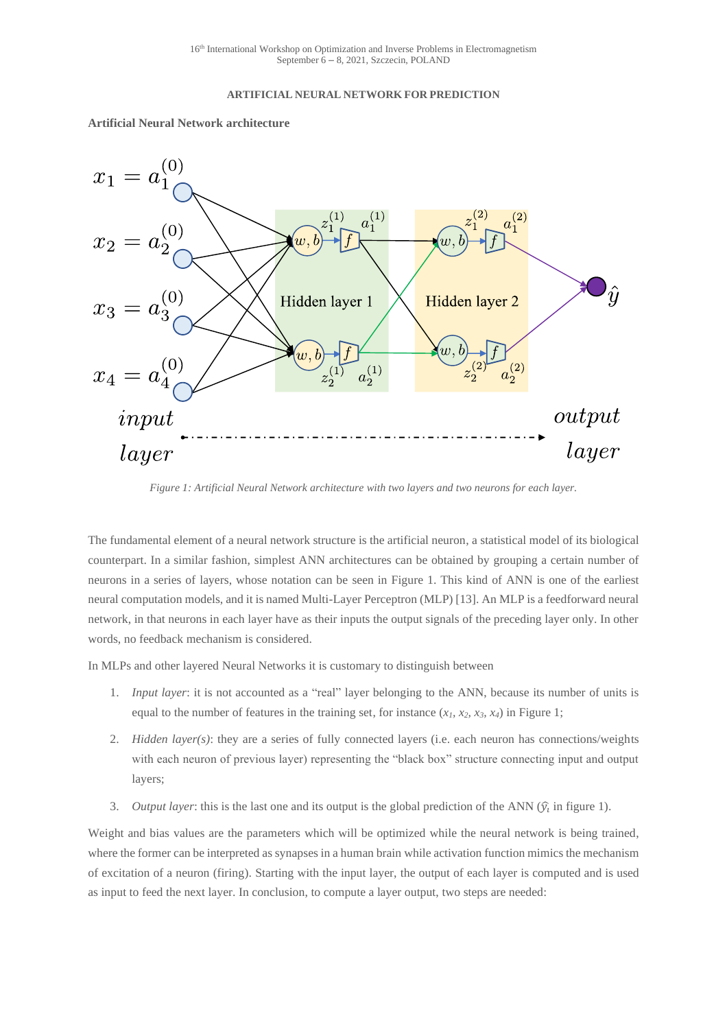## **ARTIFICIAL NEURAL NETWORK FOR PREDICTION**



**Artificial Neural Network architecture**

*Figure 1: Artificial Neural Network architecture with two layers and two neurons for each layer.*

<span id="page-3-0"></span>The fundamental element of a neural network structure is the artificial neuron, a statistical model of its biological counterpart. In a similar fashion, simplest ANN architectures can be obtained by grouping a certain number of neurons in a series of layers, whose notation can be seen in [Figure 1.](#page-3-0) This kind of ANN is one of the earliest neural computation models, and it is named Multi-Layer Perceptron (MLP) [13]. An MLP is a feedforward neural network, in that neurons in each layer have as their inputs the output signals of the preceding layer only. In other words, no feedback mechanism is considered.

In MLPs and other layered Neural Networks it is customary to distinguish between

- 1. *Input layer*: it is not accounted as a "real" layer belonging to the ANN, because its number of units is equal to the number of features in the training set, for instance  $(x_1, x_2, x_3, x_4)$  in Figure 1;
- 2. *Hidden layer(s)*: they are a series of fully connected layers (i.e. each neuron has connections/weights with each neuron of previous layer) representing the "black box" structure connecting input and output layers;
- 3. *Output layer*: this is the last one and its output is the global prediction of the ANN  $(\hat{y}_i)$  in figure 1).

Weight and bias values are the parameters which will be optimized while the neural network is being trained, where the former can be interpreted as synapses in a human brain while activation function mimics the mechanism of excitation of a neuron (firing). Starting with the input layer, the output of each layer is computed and is used as input to feed the next layer. In conclusion, to compute a layer output, two steps are needed: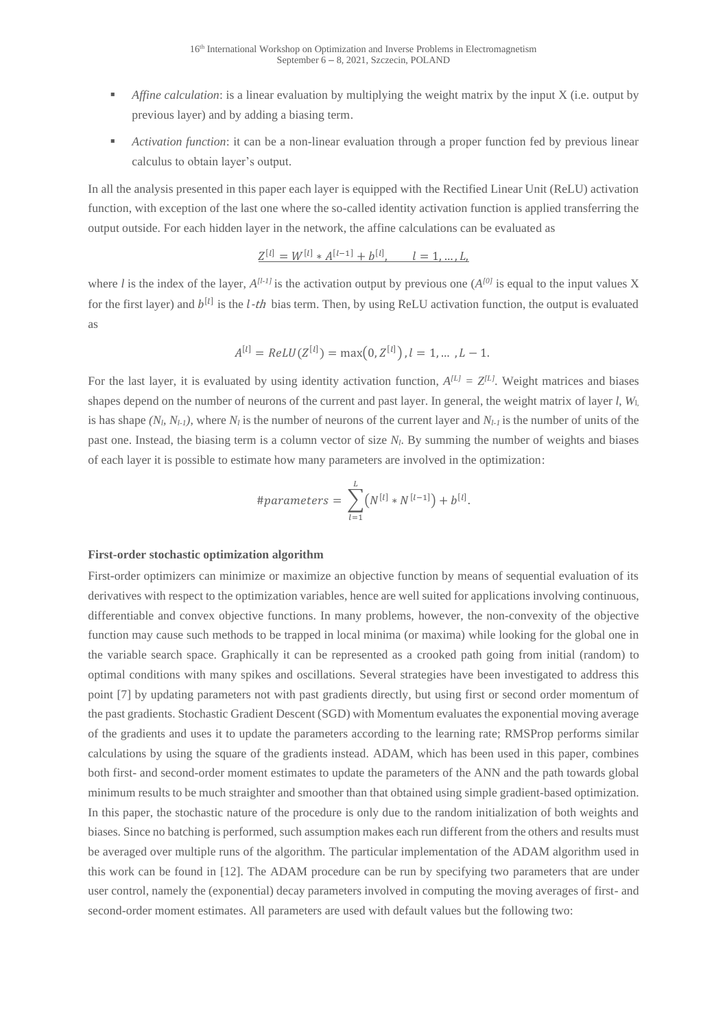- *Affine calculation*: is a linear evaluation by multiplying the weight matrix by the input X (i.e. output by previous layer) and by adding a biasing term.
- *Activation function*: it can be a non-linear evaluation through a proper function fed by previous linear calculus to obtain layer's output.

In all the analysis presented in this paper each layer is equipped with the Rectified Linear Unit (ReLU) activation function, with exception of the last one where the so-called identity activation function is applied transferring the output outside. For each hidden layer in the network, the affine calculations can be evaluated as

$$
Z^{[l]} = W^{[l]} * A^{[l-1]} + b^{[l]}, \qquad l = 1, \dots, L,
$$

where *l* is the index of the layer,  $A^{[l-l]}$  is the activation output by previous one  $(A^{[0]}$  is equal to the input values X for the first layer) and  $b^{[l]}$  is the *l*-*th* bias term. Then, by using ReLU activation function, the output is evaluated as

$$
A^{[l]} = ReLU(Z^{[l]}) = \max(0, Z^{[l]}), l = 1, ..., L - 1.
$$

For the last layer, it is evaluated by using identity activation function,  $A^{[L]} = Z^{[L]}$ . Weight matrices and biases shapes depend on the number of neurons of the current and past layer. In general, the weight matrix of layer *l*, *W*l, is has shape  $(N_l, N_{l-1})$ , where  $N_l$  is the number of neurons of the current layer and  $N_{l-1}$  is the number of units of the past one. Instead, the biasing term is a column vector of size *Nl*. By summing the number of weights and biases of each layer it is possible to estimate how many parameters are involved in the optimization:

$$
\#parameters = \sum_{l=1}^{L} (N^{[l]} * N^{[l-1]}) + b^{[l]}.
$$

## **First-order stochastic optimization algorithm**

First-order optimizers can minimize or maximize an objective function by means of sequential evaluation of its derivatives with respect to the optimization variables, hence are well suited for applications involving continuous, differentiable and convex objective functions. In many problems, however, the non-convexity of the objective function may cause such methods to be trapped in local minima (or maxima) while looking for the global one in the variable search space. Graphically it can be represented as a crooked path going from initial (random) to optimal conditions with many spikes and oscillations. Several strategies have been investigated to address this point [7] by updating parameters not with past gradients directly, but using first or second order momentum of the past gradients. Stochastic Gradient Descent (SGD) with Momentum evaluates the exponential moving average of the gradients and uses it to update the parameters according to the learning rate; RMSProp performs similar calculations by using the square of the gradients instead. ADAM, which has been used in this paper, combines both first- and second-order moment estimates to update the parameters of the ANN and the path towards global minimum results to be much straighter and smoother than that obtained using simple gradient-based optimization. In this paper, the stochastic nature of the procedure is only due to the random initialization of both weights and biases. Since no batching is performed, such assumption makes each run different from the others and results must be averaged over multiple runs of the algorithm. The particular implementation of the ADAM algorithm used in this work can be found in [12]. The ADAM procedure can be run by specifying two parameters that are under user control, namely the (exponential) decay parameters involved in computing the moving averages of first- and second-order moment estimates. All parameters are used with default values but the following two: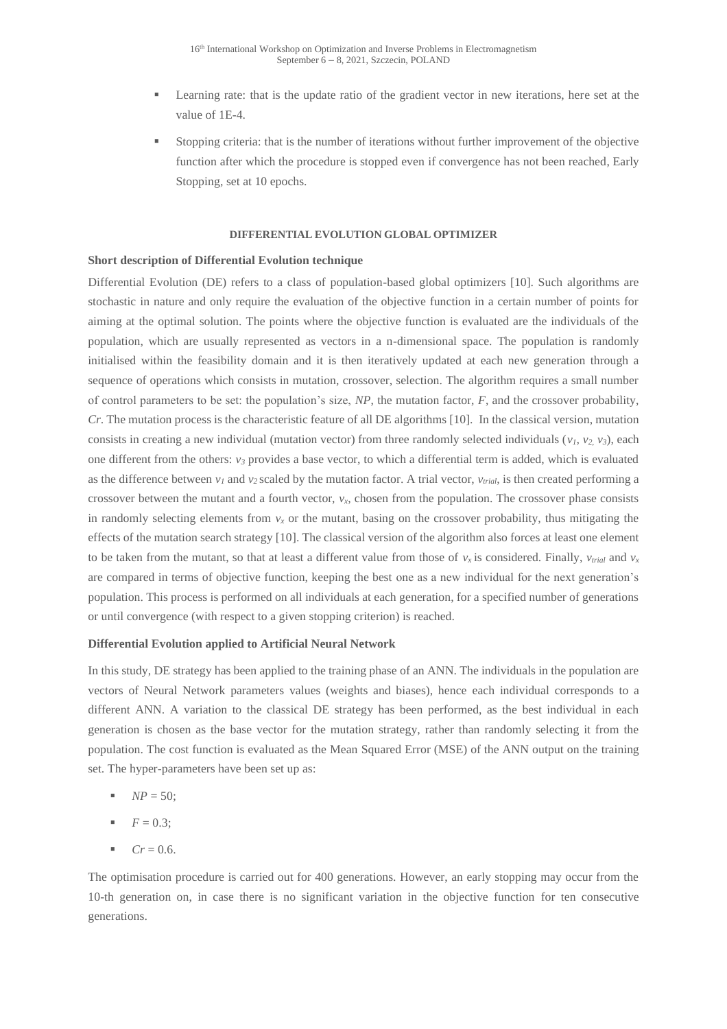- Learning rate: that is the update ratio of the gradient vector in new iterations, here set at the value of 1E-4.
- Stopping criteria: that is the number of iterations without further improvement of the objective function after which the procedure is stopped even if convergence has not been reached, Early Stopping, set at 10 epochs.

## **DIFFERENTIAL EVOLUTION GLOBAL OPTIMIZER**

## **Short description of Differential Evolution technique**

Differential Evolution (DE) refers to a class of population-based global optimizers [10]. Such algorithms are stochastic in nature and only require the evaluation of the objective function in a certain number of points for aiming at the optimal solution. The points where the objective function is evaluated are the individuals of the population, which are usually represented as vectors in a n-dimensional space. The population is randomly initialised within the feasibility domain and it is then iteratively updated at each new generation through a sequence of operations which consists in mutation, crossover, selection. The algorithm requires a small number of control parameters to be set: the population's size, *NP*, the mutation factor, *F*, and the crossover probability, *Cr*. The mutation process is the characteristic feature of all DE algorithms [10]. In the classical version, mutation consists in creating a new individual (mutation vector) from three randomly selected individuals  $(v_1, v_2, v_3)$ , each one different from the others:  $v_3$  provides a base vector, to which a differential term is added, which is evaluated as the difference between  $v_l$  and  $v_2$  scaled by the mutation factor. A trial vector,  $v_{trial}$ , is then created performing a crossover between the mutant and a fourth vector, *vx*, chosen from the population. The crossover phase consists in randomly selecting elements from  $v_x$  or the mutant, basing on the crossover probability, thus mitigating the effects of the mutation search strategy [10]. The classical version of the algorithm also forces at least one element to be taken from the mutant, so that at least a different value from those of  $v_x$  is considered. Finally,  $v_{trial}$  and  $v_x$ are compared in terms of objective function, keeping the best one as a new individual for the next generation's population. This process is performed on all individuals at each generation, for a specified number of generations or until convergence (with respect to a given stopping criterion) is reached.

## **Differential Evolution applied to Artificial Neural Network**

In this study, DE strategy has been applied to the training phase of an ANN. The individuals in the population are vectors of Neural Network parameters values (weights and biases), hence each individual corresponds to a different ANN. A variation to the classical DE strategy has been performed, as the best individual in each generation is chosen as the base vector for the mutation strategy, rather than randomly selecting it from the population. The cost function is evaluated as the Mean Squared Error (MSE) of the ANN output on the training set. The hyper-parameters have been set up as:

- $NP = 50;$
- $F = 0.3$ ;
- $\blacksquare$  *Cr* = 0.6.

The optimisation procedure is carried out for 400 generations. However, an early stopping may occur from the 10-th generation on, in case there is no significant variation in the objective function for ten consecutive generations.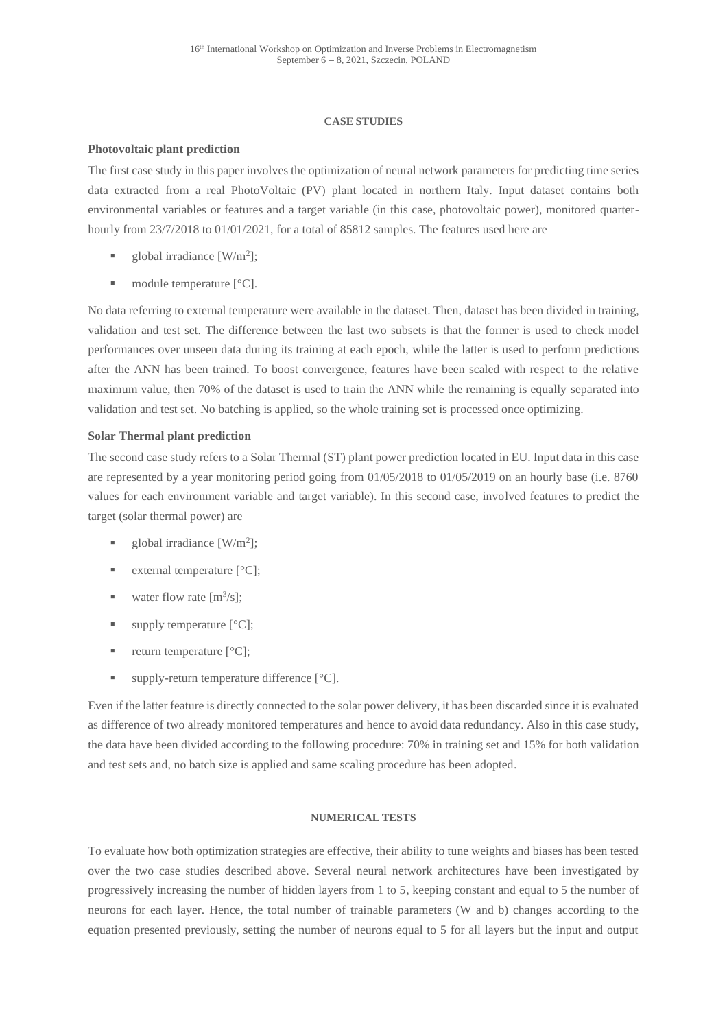## **CASE STUDIES**

## **Photovoltaic plant prediction**

The first case study in this paper involves the optimization of neural network parameters for predicting time series data extracted from a real PhotoVoltaic (PV) plant located in northern Italy. Input dataset contains both environmental variables or features and a target variable (in this case, photovoltaic power), monitored quarterhourly from 23/7/2018 to 01/01/2021, for a total of 85812 samples. The features used here are

- $\blacksquare$  global irradiance [W/m<sup>2</sup>];
- $\blacksquare$  module temperature  $[°C]$ .

No data referring to external temperature were available in the dataset. Then, dataset has been divided in training, validation and test set. The difference between the last two subsets is that the former is used to check model performances over unseen data during its training at each epoch, while the latter is used to perform predictions after the ANN has been trained. To boost convergence, features have been scaled with respect to the relative maximum value, then 70% of the dataset is used to train the ANN while the remaining is equally separated into validation and test set. No batching is applied, so the whole training set is processed once optimizing.

## **Solar Thermal plant prediction**

The second case study refers to a Solar Thermal (ST) plant power prediction located in EU. Input data in this case are represented by a year monitoring period going from 01/05/2018 to 01/05/2019 on an hourly base (i.e. 8760 values for each environment variable and target variable). In this second case, involved features to predict the target (solar thermal power) are

- $\blacksquare$  global irradiance [W/m<sup>2</sup>];
- external temperature  $[^{\circ}C]$ ;
- $\blacksquare$  water flow rate [m<sup>3</sup>/s];
- $\blacksquare$  supply temperature  $[°C]$ ;
- $\blacksquare$  return temperature  $[°C]$ ;
- $\blacksquare$  supply-return temperature difference  $[°C]$ .

Even if the latter feature is directly connected to the solar power delivery, it has been discarded since it is evaluated as difference of two already monitored temperatures and hence to avoid data redundancy. Also in this case study, the data have been divided according to the following procedure: 70% in training set and 15% for both validation and test sets and, no batch size is applied and same scaling procedure has been adopted.

## **NUMERICAL TESTS**

To evaluate how both optimization strategies are effective, their ability to tune weights and biases has been tested over the two case studies described above. Several neural network architectures have been investigated by progressively increasing the number of hidden layers from 1 to 5, keeping constant and equal to 5 the number of neurons for each layer. Hence, the total number of trainable parameters (W and b) changes according to the equation presented previously, setting the number of neurons equal to 5 for all layers but the input and output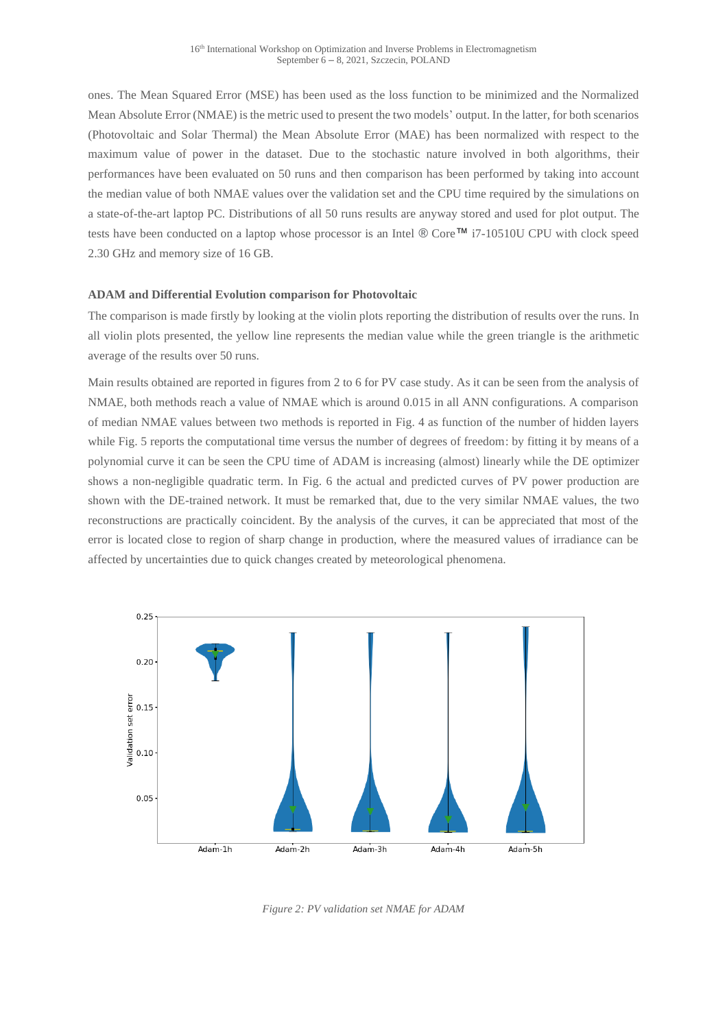ones. The Mean Squared Error (MSE) has been used as the loss function to be minimized and the Normalized Mean Absolute Error (NMAE) is the metric used to present the two models' output. In the latter, for both scenarios (Photovoltaic and Solar Thermal) the Mean Absolute Error (MAE) has been normalized with respect to the maximum value of power in the dataset. Due to the stochastic nature involved in both algorithms, their performances have been evaluated on 50 runs and then comparison has been performed by taking into account the median value of both NMAE values over the validation set and the CPU time required by the simulations on a state-of-the-art laptop PC. Distributions of all 50 runs results are anyway stored and used for plot output. The tests have been conducted on a laptop whose processor is an Intel ® Core™ i7-10510U CPU with clock speed 2.30 GHz and memory size of 16 GB.

## **ADAM and Differential Evolution comparison for Photovoltaic**

The comparison is made firstly by looking at the violin plots reporting the distribution of results over the runs. In all violin plots presented, the yellow line represents the median value while the green triangle is the arithmetic average of the results over 50 runs.

Main results obtained are reported in figures from 2 to 6 for PV case study. As it can be seen from the analysis of NMAE, both methods reach a value of NMAE which is around 0.015 in all ANN configurations. A comparison of median NMAE values between two methods is reported in Fig. 4 as function of the number of hidden layers while Fig. 5 reports the computational time versus the number of degrees of freedom: by fitting it by means of a polynomial curve it can be seen the CPU time of ADAM is increasing (almost) linearly while the DE optimizer shows a non-negligible quadratic term. In Fig. 6 the actual and predicted curves of PV power production are shown with the DE-trained network. It must be remarked that, due to the very similar NMAE values, the two reconstructions are practically coincident. By the analysis of the curves, it can be appreciated that most of the error is located close to region of sharp change in production, where the measured values of irradiance can be affected by uncertainties due to quick changes created by meteorological phenomena.



*Figure 2: PV validation set NMAE for ADAM*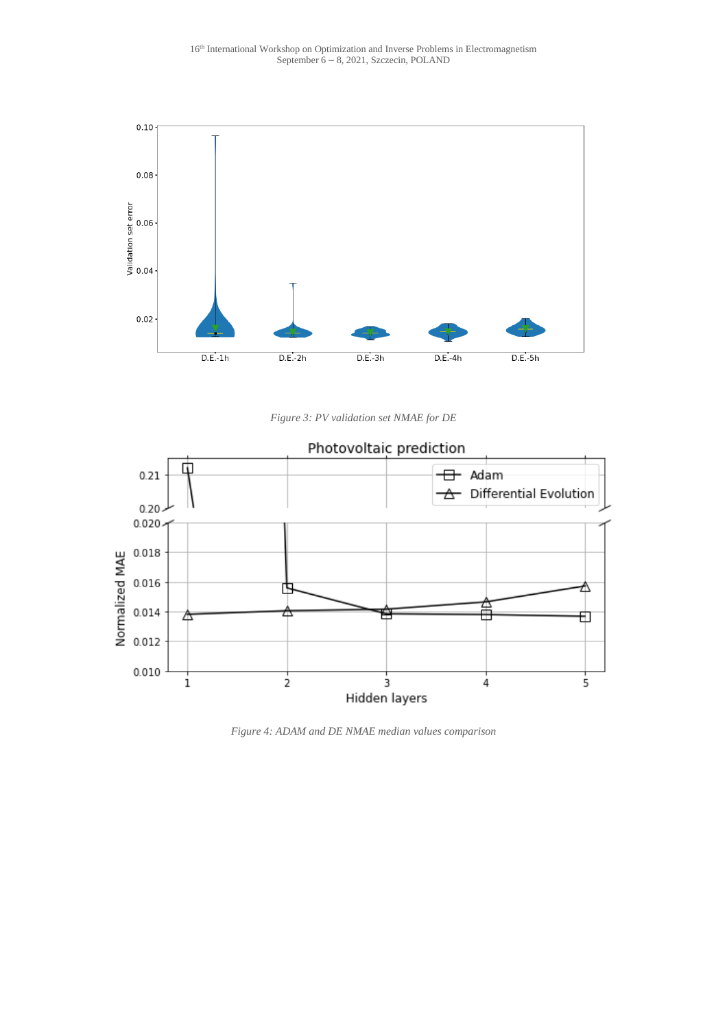

*Figure 3: PV validation set NMAE for DE*



*Figure 4: ADAM and DE NMAE median values comparison*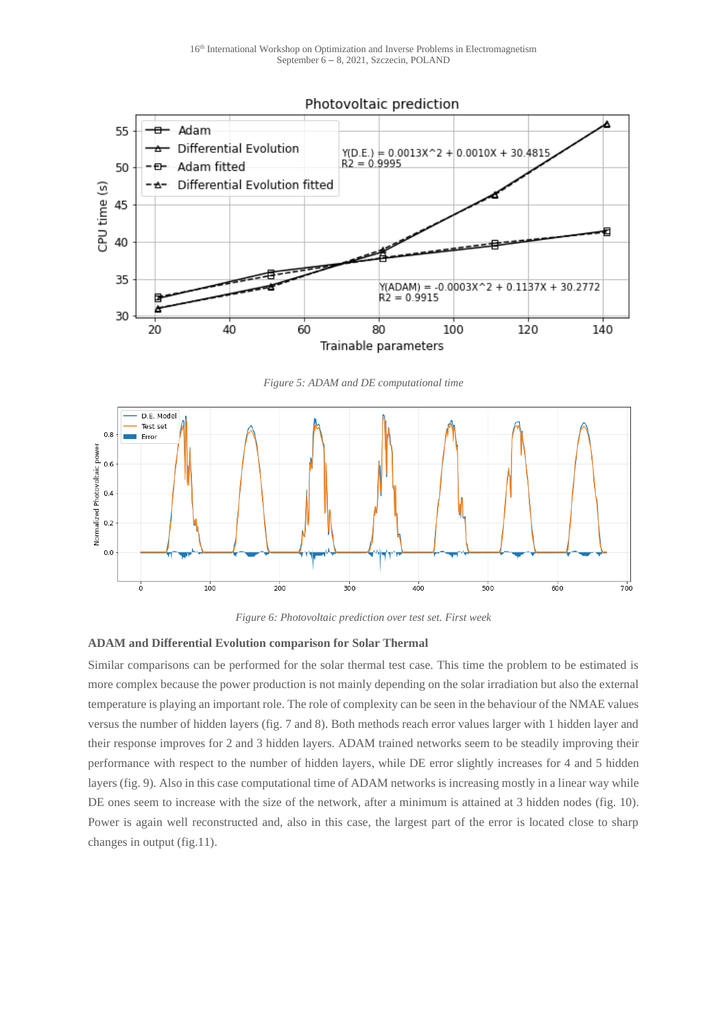

*Figure 5: ADAM and DE computational time*



*Figure 6: Photovoltaic prediction over test set. First week*

## **ADAM and Differential Evolution comparison for Solar Thermal**

Similar comparisons can be performed for the solar thermal test case. This time the problem to be estimated is more complex because the power production is not mainly depending on the solar irradiation but also the external temperature is playing an important role. The role of complexity can be seen in the behaviour of the NMAE values versus the number of hidden layers (fig. 7 and 8). Both methods reach error values larger with 1 hidden layer and their response improves for 2 and 3 hidden layers. ADAM trained networks seem to be steadily improving their performance with respect to the number of hidden layers, while DE error slightly increases for 4 and 5 hidden layers (fig. 9). Also in this case computational time of ADAM networks is increasing mostly in a linear way while DE ones seem to increase with the size of the network, after a minimum is attained at 3 hidden nodes (fig. 10). Power is again well reconstructed and, also in this case, the largest part of the error is located close to sharp changes in output (fig.11).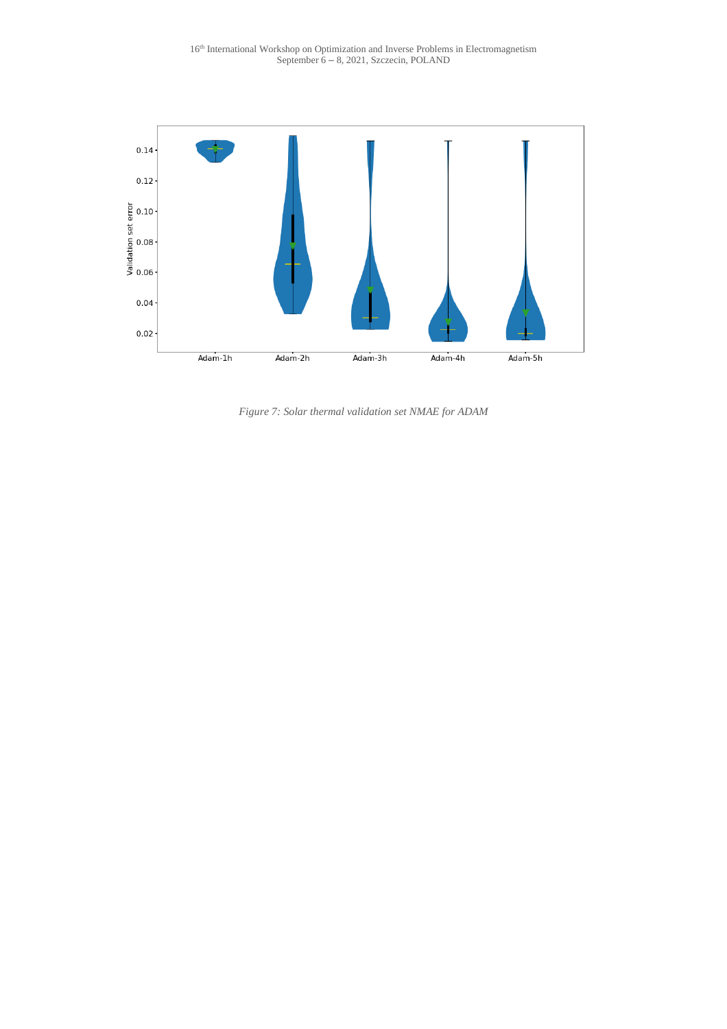

*Figure 7: Solar thermal validation set NMAE for ADAM*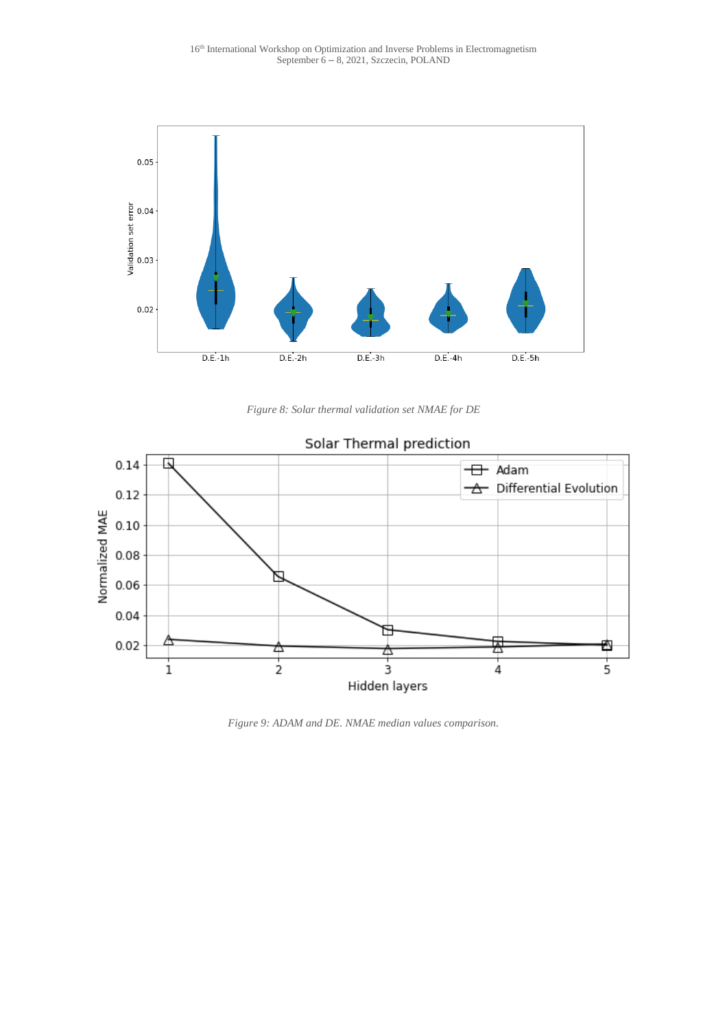

*Figure 8: Solar thermal validation set NMAE for DE*



## *Figure 9: ADAM and DE. NMAE median values comparison.*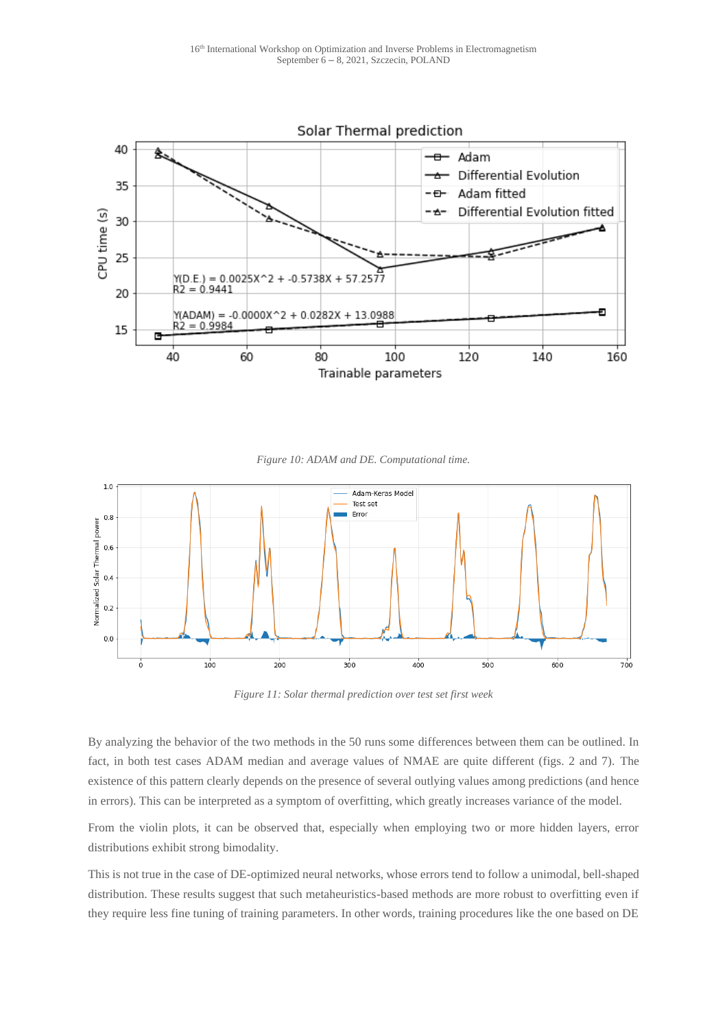

*Figure 10: ADAM and DE. Computational time.*



*Figure 11: Solar thermal prediction over test set first week*

By analyzing the behavior of the two methods in the 50 runs some differences between them can be outlined. In fact, in both test cases ADAM median and average values of NMAE are quite different (figs. 2 and 7). The existence of this pattern clearly depends on the presence of several outlying values among predictions (and hence in errors). This can be interpreted as a symptom of overfitting, which greatly increases variance of the model.

From the violin plots, it can be observed that, especially when employing two or more hidden layers, error distributions exhibit strong bimodality.

This is not true in the case of DE-optimized neural networks, whose errors tend to follow a unimodal, bell-shaped distribution. These results suggest that such metaheuristics-based methods are more robust to overfitting even if they require less fine tuning of training parameters. In other words, training procedures like the one based on DE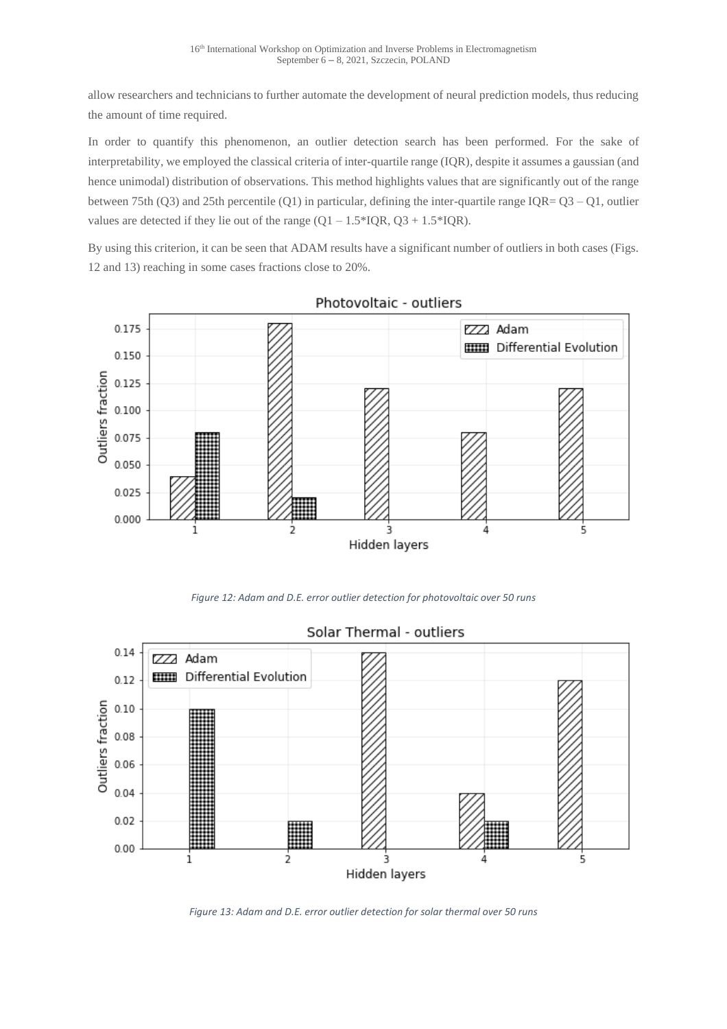allow researchers and technicians to further automate the development of neural prediction models, thus reducing the amount of time required.

In order to quantify this phenomenon, an outlier detection search has been performed. For the sake of interpretability, we employed the classical criteria of inter-quartile range (IQR), despite it assumes a gaussian (and hence unimodal) distribution of observations. This method highlights values that are significantly out of the range between 75th (Q3) and 25th percentile (Q1) in particular, defining the inter-quartile range IQR= Q3 – Q1, outlier values are detected if they lie out of the range  $(Q1 - 1.5 * IQR, Q3 + 1.5 * IQR)$ .

By using this criterion, it can be seen that ADAM results have a significant number of outliers in both cases (Figs. 12 and 13) reaching in some cases fractions close to 20%.



Photovoltaic - outliers

*Figure 12: Adam and D.E. error outlier detection for photovoltaic over 50 runs*



## Solar Thermal - outliers

*Figure 13: Adam and D.E. error outlier detection for solar thermal over 50 runs*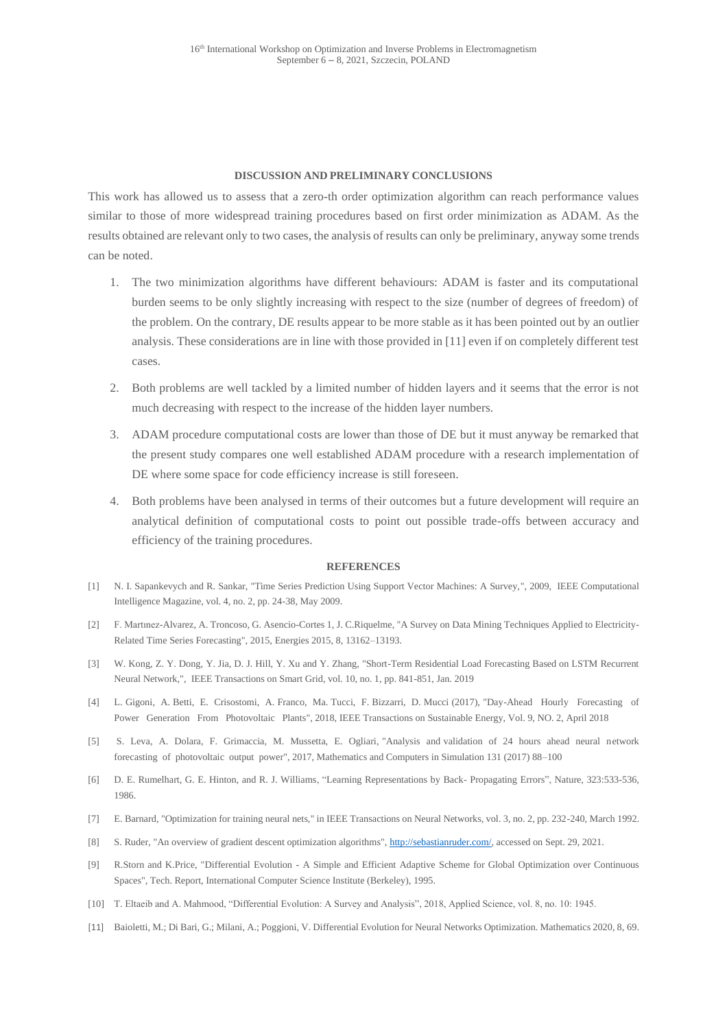#### **DISCUSSION AND PRELIMINARY CONCLUSIONS**

This work has allowed us to assess that a zero-th order optimization algorithm can reach performance values similar to those of more widespread training procedures based on first order minimization as ADAM. As the results obtained are relevant only to two cases, the analysis of results can only be preliminary, anyway some trends can be noted.

- 1. The two minimization algorithms have different behaviours: ADAM is faster and its computational burden seems to be only slightly increasing with respect to the size (number of degrees of freedom) of the problem. On the contrary, DE results appear to be more stable as it has been pointed out by an outlier analysis. These considerations are in line with those provided in [11] even if on completely different test cases.
- 2. Both problems are well tackled by a limited number of hidden layers and it seems that the error is not much decreasing with respect to the increase of the hidden layer numbers.
- 3. ADAM procedure computational costs are lower than those of DE but it must anyway be remarked that the present study compares one well established ADAM procedure with a research implementation of DE where some space for code efficiency increase is still foreseen.
- 4. Both problems have been analysed in terms of their outcomes but a future development will require an analytical definition of computational costs to point out possible trade-offs between accuracy and efficiency of the training procedures.

#### **REFERENCES**

- [1] N. I. Sapankevych and R. Sankar, "Time Series Prediction Using Support Vector Machines: A Survey,", 2009, IEEE Computational Intelligence Magazine, vol. 4, no. 2, pp. 24-38, May 2009.
- [2] F. Martınez-Alvarez, A. Troncoso, G. Asencio-Cortes 1, J. C.Riquelme, "A Survey on Data Mining Techniques Applied to Electricity-Related Time Series Forecasting", 2015, Energies 2015, 8, 13162–13193.
- [3] W. Kong, Z. Y. Dong, Y. Jia, D. J. Hill, Y. Xu and Y. Zhang, "Short-Term Residential Load Forecasting Based on LSTM Recurrent Neural Network,", IEEE Transactions on Smart Grid, vol. 10, no. 1, pp. 841-851, Jan. 2019
- [4] L. Gigoni, A. Betti, E. Crisostomi, A. Franco, Ma. Tucci, F. Bizzarri, D. Mucci (2017), "Day-Ahead Hourly Forecasting of Power Generation From Photovoltaic Plants", 2018, IEEE Transactions on Sustainable Energy, Vol. 9, NO. 2, April 2018
- [5] S. Leva, A. Dolara, F. Grimaccia, M. Mussetta, E. Ogliari, "Analysis and validation of 24 hours ahead neural network forecasting of photovoltaic output power", 2017, Mathematics and Computers in Simulation 131 (2017) 88–100
- [6] D. E. Rumelhart, G. E. Hinton, and R. J. Williams, "Learning Representations by Back- Propagating Errors", Nature, 323:533-536, 1986.
- [7] E. Barnard, "Optimization for training neural nets," in IEEE Transactions on Neural Networks, vol. 3, no. 2, pp. 232-240, March 1992.
- [8] S. Ruder, "An overview of gradient descent optimization algorithms", [http://sebastianruder.com/,](http://sebastianruder.com/) accessed on Sept. 29, 2021.
- [9] R.Storn and K.Price, "Differential Evolution A Simple and Efficient Adaptive Scheme for Global Optimization over Continuous Spaces", Tech. Report, International Computer Science Institute (Berkeley), 1995.
- [10] T. Eltaeib and A. Mahmood, "Differential Evolution: A Survey and Analysis", 2018, Applied Science, vol. 8, no. 10: 1945.
- [11] Baioletti, M.; Di Bari, G.; Milani, A.; Poggioni, V. Differential Evolution for Neural Networks Optimization. Mathematics 2020, 8, 69.